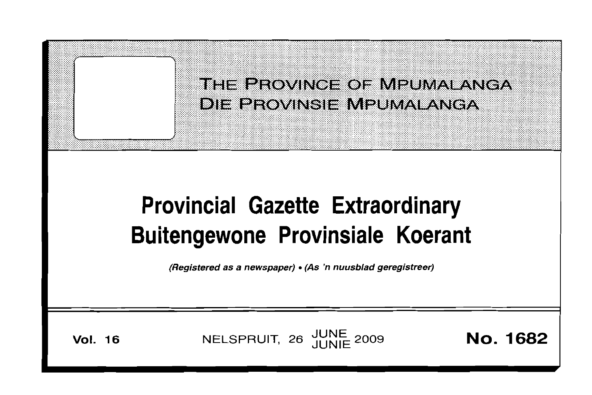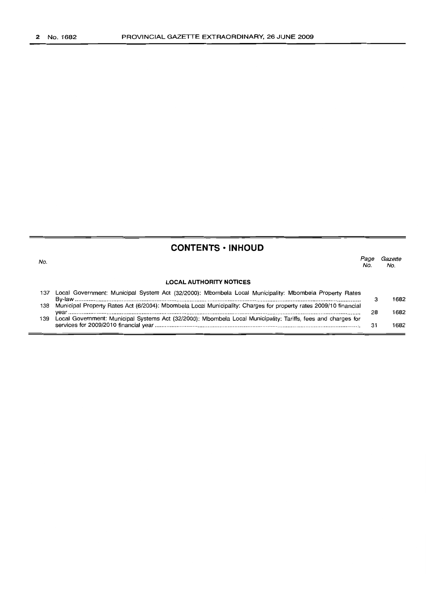|     | <b>CONTENTS · INHOUD</b>                                                                                         |             |                |
|-----|------------------------------------------------------------------------------------------------------------------|-------------|----------------|
| No. |                                                                                                                  | Page<br>No. | Gazette<br>No. |
|     | <b>LOCAL AUTHORITY NOTICES</b>                                                                                   |             |                |
| 137 | Local Government: Municipal System Act (32/2000): Mbombela Local Municipality: Mbombela Property Rates           |             | 1682           |
| 138 | Municipal Property Rates Act (6/2004): Mbombela Local Municipality: Charges for property rates 2009/10 financial | 28          | 1682           |
| 139 | Local Government: Municipal Systems Act (32/2000): Mbombela Local Municipality: Tariffs, fees and charges for    | 31          | 1682           |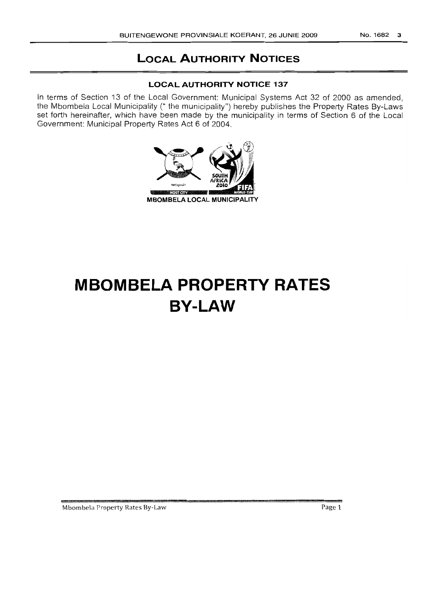# **LOCAL AUTHORITY NOTICES**

## **LOCAL AUTHORITY NOTICE 137**

In terms of Section 13 of the Local Government: Municipal Systems Act 32 of 2000 as amended, the Mbombela Local Municipality (" the municipality") hereby publishes the Property Rates By-Laws set forth hereinafter, which have been made by the municipality in terms of Section 6 of the Local Government: Municipal Property Rates Act 6 of 2004.



# **MBOMBELA PROPERTY RATES BY-LAW**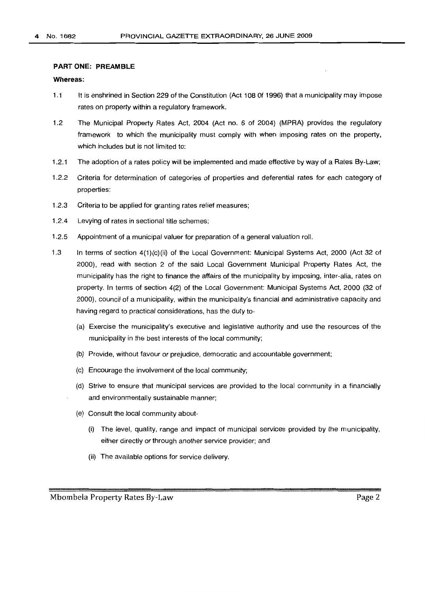#### **PART ONE: PREAMBLE**

#### **Whereas:**

- 1.1 **It** is enshrined in Section 229 of the Constitution (Act 108 Of 1996) that a municipality may impose rates on property within a regulatory framework.
- 1.2 The Municipal Property Rates Act, 2004 (Act no. 6 of 2004) (MPRA) provides the regulatory framework to which the municipality must comply with when imposing rates on the property, which includes but is not limited to:
- 1.2.1 The adoption of a rates policy will be implemented and made effective by way of a Rates By-Law;
- 1.2.2 Criteria for determination of categories of properties and deferential rates for each category of properties;
- 1.2.3 Criteria to be applied for granting rates relief measures;
- 1.2.4 Levying of rates in sectional title schemes;
- 1.2.5 Appointment of a municipal valuer for preparation of a general valuation roll.
- 1.3 In terms of section 4(1)(c)(ii) of the Local Government: Municipal Systems Act, 2000 (Act 32 of 2000), read with section 2 of the said Local Government Municipal Property Rates Act, the municipality has the right to finance the affairs of the municipality by imposing, inter-alia, rates on property. In terms of section 4(2) of the Local Government: Municipal Systems Act, 2000 (32 of 2000), council of a municipality, within the municipality's financial and administrative capacity and having regard to practical considerations, has the duty to-
	- (a) Exercise the municipality's executive and legislative authority and use the resources of the municipality in the best interests of the local community;
	- (b) Provide, without favour or prejudice, democratic and accountable government;
	- (c) Encourage the involvement of the local community;
	- (d) Strive to ensure that municipal services are provided to the local community in a financially and environmentally sustainable manner;
	- (e) Consult the local community about-
		- (i) The level, quality, range and impact of municipal services provided by the municipality, either directly or through another service provider; and
		- (ii) The available options for service delivery.

Mbombela Property Rates By-Law Page 2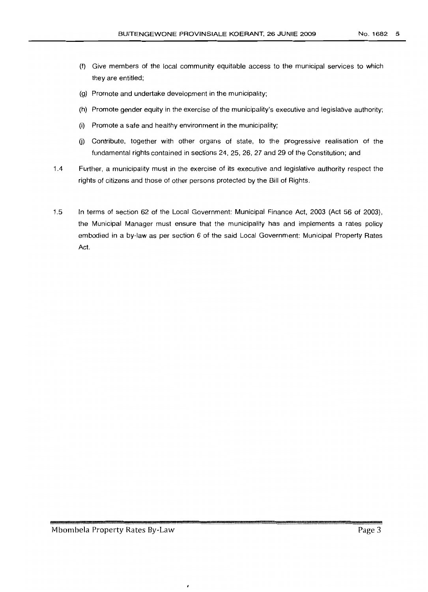- (f) Give members of the local community equitable access to the municipal services to which they are entitled;
- (g) Promote and undertake development in the municipality;
- (h) Promote gender equity in the exercise of the municipality's executive and legislative authority;
- (i) Promote a safe and healthy environment in the municipality;
- (i) Contribute, together with other organs of state, to the progressive realisation of the fundamental rights contained in sections 24, 25, 26, 27 and 29 of the Constitution; and
- 1.4 Further, a municipality must in the exercise of its executive and legislative authority respect the rights of citizens and those of other persons protected by the Bill of Rights.
- 1.5 In terms of section 62 of the Local Government: Municipal Finance Act, 2003 (Act 56 of 2003), the Municipal Manager must ensure that the municipality has and implements a rates policy embodied in a by-law as per section 6 of the said Local Government: Municipal Property Rates Act.

 $\cdot$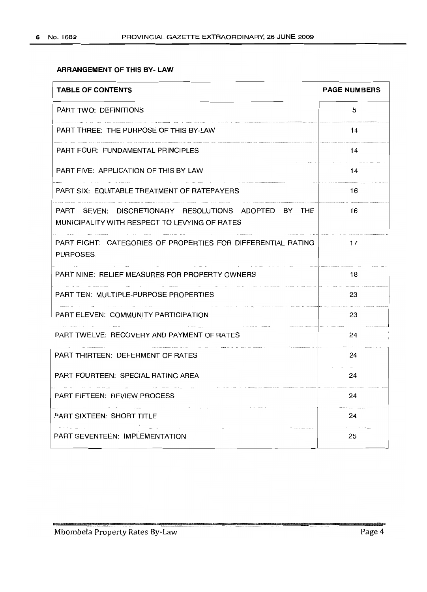## **ARRANGEMENT OF THIS BY- LAW**

| <b>TABLE OF CONTENTS</b>                                                                              | <b>PAGE NUMBERS</b> |
|-------------------------------------------------------------------------------------------------------|---------------------|
| <b>PART TWO: DEFINITIONS</b>                                                                          | 5                   |
| PART THREE: THE PURPOSE OF THIS BY-LAW                                                                | 14                  |
| PART FOUR: FUNDAMENTAL PRINCIPLES                                                                     | 14                  |
| PART FIVE: APPLICATION OF THIS BY-LAW                                                                 | 14                  |
| PART SIX: EQUITABLE TREATMENT OF RATEPAYERS                                                           | 16                  |
| PART SEVEN: DISCRETIONARY RESOLUTIONS ADOPTED BY THE<br>MUNICIPALITY WITH RESPECT TO LEVYING OF RATES | 16                  |
| PART EIGHT: CATEGORIES OF PROPERTIES FOR DIFFERENTIAL RATING<br>PURPOSES                              | 17                  |
| <b>PART NINE: RELIEF MEASURES FOR PROPERTY OWNERS</b>                                                 | 18                  |
| PART TEN: MULTIPLE-PURPOSE PROPERTIES                                                                 | 23                  |
| PART ELEVEN: COMMUNITY PARTICIPATION                                                                  | 23                  |
| PART TWELVE: RECOVERY AND PAYMENT OF RATES                                                            | 24                  |
| PART THIRTEEN: DEFERMENT OF RATES                                                                     | 24                  |
| PART FOURTEEN: SPECIAL RATING AREA                                                                    | 24                  |
| <b>PART FIFTEEN: REVIEW PROCESS</b>                                                                   | 24                  |
| <b>PART SIXTEEN: SHORT TITLE</b>                                                                      | 24                  |
| <b>PART SEVENTEEN: IMPLEMENTATION</b>                                                                 | 25                  |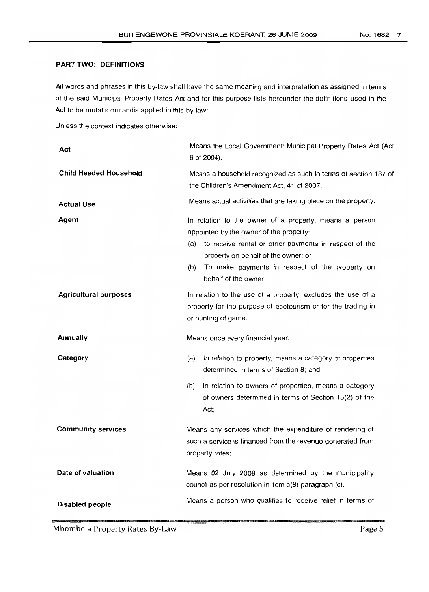## PART TWO: DEFINITIONS

All words and phrases in this by-law shall have the same meaning and interpretation as assigned in terms of the said Municipal Property Rates Act and for this purpose lists hereunder the definitions used in the Act to be mutatis mutandis applied in this by-law:

Unless the context indicates otherwise:

| Act                           | Means the Local Government: Municipal Property Rates Act (Act<br>6 of 2004).                                                                                                                                                                                                              |  |  |
|-------------------------------|-------------------------------------------------------------------------------------------------------------------------------------------------------------------------------------------------------------------------------------------------------------------------------------------|--|--|
| <b>Child Headed Household</b> | Means a household recognized as such in terms of section 137 of<br>the Children's Amendment Act, 41 of 2007.                                                                                                                                                                              |  |  |
| <b>Actual Use</b>             | Means actual activities that are taking place on the property.                                                                                                                                                                                                                            |  |  |
| Agent                         | In relation to the owner of a property, means a person<br>appointed by the owner of the property:<br>to receive rental or other payments in respect of the<br>(a)<br>property on behalf of the owner; or<br>To make payments in respect of the property on<br>(b)<br>behalf of the owner. |  |  |
| <b>Agricultural purposes</b>  | In relation to the use of a property, excludes the use of a<br>property for the purpose of ecotourism or for the trading in<br>or hunting of game.                                                                                                                                        |  |  |
| Annually                      | Means once every financial year.                                                                                                                                                                                                                                                          |  |  |
| Category                      | In relation to property, means a category of properties<br>(a)<br>determined in terms of Section 8; and                                                                                                                                                                                   |  |  |
|                               | In relation to owners of properties, means a category<br>(b)<br>of owners determined in terms of Section 15(2) of the<br>Act;                                                                                                                                                             |  |  |
| <b>Community services</b>     | Means any services which the expenditure of rendering of<br>such a service is financed from the revenue generated from<br>property rates;                                                                                                                                                 |  |  |
| Date of valuation             | Means 02 July 2008 as determined by the municipality<br>council as per resolution in item $c(8)$ paragraph (c).                                                                                                                                                                           |  |  |
| Disabled people               | Means a person who qualifies to receive relief in terms of                                                                                                                                                                                                                                |  |  |
|                               |                                                                                                                                                                                                                                                                                           |  |  |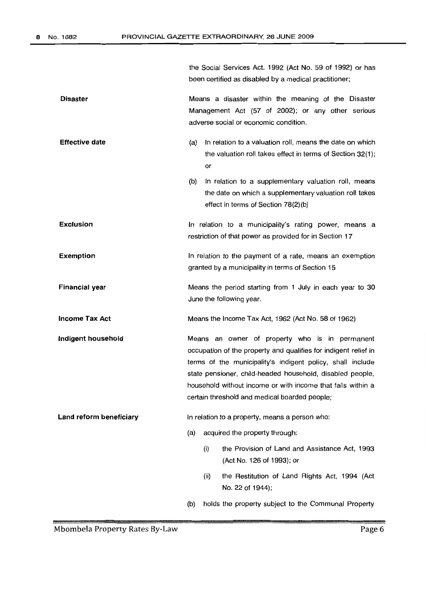|                         |                                                                                                                                                                                                                                                                                                                                                              | the Social Services Act. 1992 (Act No. 59 of 1992) or has<br>been certified as disabled by a medical practitioner;                                    |  |
|-------------------------|--------------------------------------------------------------------------------------------------------------------------------------------------------------------------------------------------------------------------------------------------------------------------------------------------------------------------------------------------------------|-------------------------------------------------------------------------------------------------------------------------------------------------------|--|
| <b>Disaster</b>         |                                                                                                                                                                                                                                                                                                                                                              | Means a disaster within the meaning of the Disaster<br>Management Act (57 of 2002); or any other serious<br>adverse social or economic condition.     |  |
| <b>Effective date</b>   | (a)<br>or                                                                                                                                                                                                                                                                                                                                                    | In relation to a valuation roll, means the date on which<br>the valuation roll takes effect in terms of Section 32(1);                                |  |
|                         | (b)                                                                                                                                                                                                                                                                                                                                                          | In relation to a supplementary valuation roll, means<br>the date on which a supplementary valuation roll takes<br>effect in terms of Section 78(2)(b) |  |
| <b>Exclusion</b>        |                                                                                                                                                                                                                                                                                                                                                              | In relation to a municipality's rating power, means a<br>restriction of that power as provided for in Section 17                                      |  |
| <b>Exemption</b>        | In relation to the payment of a rate, means an exemption<br>granted by a municipality in terms of Section 15                                                                                                                                                                                                                                                 |                                                                                                                                                       |  |
| <b>Financial year</b>   | Means the period starting from 1 July in each year to 30<br>June the following year.                                                                                                                                                                                                                                                                         |                                                                                                                                                       |  |
| <b>Income Tax Act</b>   | Means the Income Tax Act, 1962 (Act No. 58 of 1962)                                                                                                                                                                                                                                                                                                          |                                                                                                                                                       |  |
| Indigent household      | Means an owner of property who is in permanent<br>occupation of the property and qualifies for indigent relief in<br>terms of the municipality's indigent policy, shall include<br>state pensioner, child-headed household, disabled people,<br>household without income or with income that falls within a<br>certain threshold and medical boarded people; |                                                                                                                                                       |  |
| Land reform beneficiary | In relation to a property, means a person who:                                                                                                                                                                                                                                                                                                               |                                                                                                                                                       |  |
|                         | (a)                                                                                                                                                                                                                                                                                                                                                          | acquired the property through:                                                                                                                        |  |
|                         | (i)                                                                                                                                                                                                                                                                                                                                                          | the Provision of Land and Assistance Act, 1993<br>(Act No. 126 of 1993); or                                                                           |  |
|                         | (ii)                                                                                                                                                                                                                                                                                                                                                         | the Restitution of Land Rights Act, 1994 (Act<br>No. 22 of 1944);                                                                                     |  |
|                         | (b)                                                                                                                                                                                                                                                                                                                                                          | holds the property subject to the Communal Property                                                                                                   |  |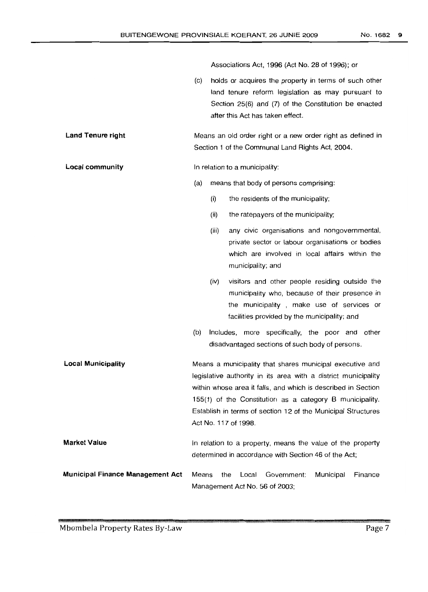Associations Act, 1996 (Act No. 28 of 1996); or

- (c) holds or acquires the property in terms of such other land tenure reform legislation as may pursuant to Section 25(6) and (7) of the Constitution be enacted after this Act has taken effect.
- **Land Tenure right** Means an old order right or a new order right as defined in Section 1 of the Communal Land Rights Act, 2004.

**Local community** In relation to a municipality:

- (a) means that body of persons comprising:
	- (i) the residents of the municipality;
	- (ii) the ratepayers of the municipality;
	- (iii) any civic organisations and nongovernmental, private sector or labour organisations or bodies which are involved in local affairs within the municipality; and
	- (iv) visitors and other people residing outside the municipality who, because of their presence in the municipality , make use of services or facilities provided by the municipality; and
- (b) Includes, more specifically, the poor and other disadvantaged sections of such body of persons.

**Local Municipality Market Value** Means a municipality that shares municipal executive and legislative authority in its area with a district municipality within whose area it falls, and which is described in Section 155(1) of the Constitution as a category B municipality. Establish in terms of section 12 of the Municipal Structures Act No. 117 of 1998. In relation to a property, means the value of the property determined in accordance with Section 46 of the Act;

**Municipal Finance Management Act** Means the Local Government: Municipal Finance Management Act No. 56 of 2003;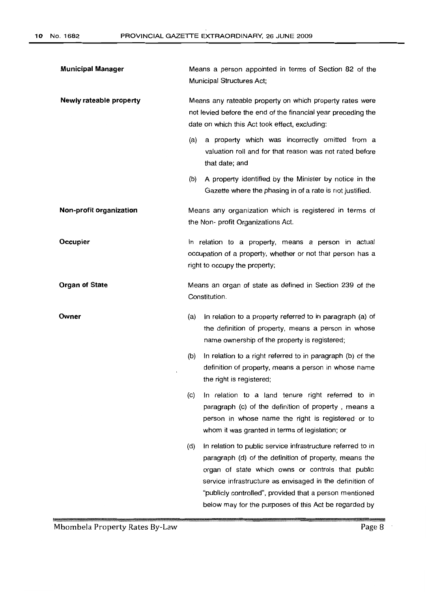| <b>Municipal Manager</b> | Means a person appointed in terms of Section 82 of the<br>Municipal Structures Act;                                                                                                                                                                                                                                                                               |
|--------------------------|-------------------------------------------------------------------------------------------------------------------------------------------------------------------------------------------------------------------------------------------------------------------------------------------------------------------------------------------------------------------|
| Newly rateable property  | Means any rateable property on which property rates were<br>not levied before the end of the financial year preceding the<br>date on which this Act took effect, excluding:                                                                                                                                                                                       |
|                          | a property which was incorrectly omitted from a<br>(a)<br>valuation roll and for that reason was not rated before<br>that date; and                                                                                                                                                                                                                               |
|                          | A property identified by the Minister by notice in the<br>(b)<br>Gazette where the phasing in of a rate is not justified.                                                                                                                                                                                                                                         |
| Non-profit organization  | Means any organization which is registered in terms of<br>the Non- profit Organizations Act.                                                                                                                                                                                                                                                                      |
| Occupier                 | In relation to a property, means a person in actual<br>occupation of a property, whether or not that person has a<br>right to occupy the property;                                                                                                                                                                                                                |
| <b>Organ of State</b>    | Means an organ of state as defined in Section 239 of the<br>Constitution.                                                                                                                                                                                                                                                                                         |
| Owner                    | In relation to a property referred to in paragraph (a) of<br>(a)<br>the definition of property, means a person in whose<br>name ownership of the property is registered;                                                                                                                                                                                          |
|                          | In relation to a right referred to in paragraph (b) of the<br>(b)<br>definition of property, means a person in whose name<br>the right is registered;                                                                                                                                                                                                             |
|                          | (c) In relation to a land tenure right referred to in<br>paragraph (c) of the definition of property, means a<br>person in whose name the right is registered or to<br>whom it was granted in terms of legislation; or                                                                                                                                            |
|                          | (d)<br>In relation to public service infrastructure referred to in<br>paragraph (d) of the definition of property, means the<br>organ of state which owns or controls that public<br>service infrastructure as envisaged in the definition of<br>"publicly controlled", provided that a person mentioned<br>below may for the purposes of this Act be regarded by |

關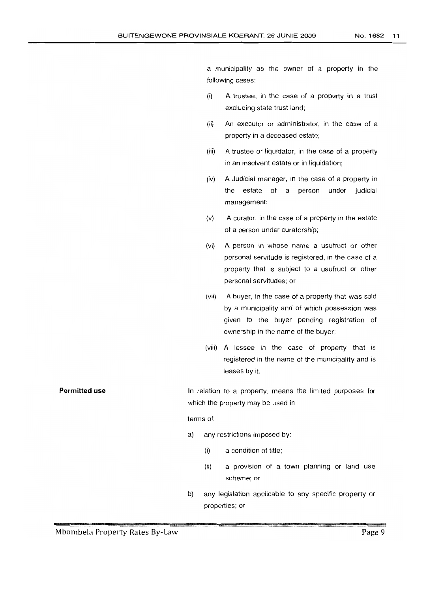a municipality as the owner of a property in the following cases:

- (i) A trustee, in the case of a property in a trust excluding state trust land;
- (ii) An executor or administrator, in the case of a property in a deceased estate;
- (iii) A trustee or liquidator, in the case of a property in an insolvent estate or in liquidation;
- (iv) A Judicial manager, in the case of a property in the estate of a person under judicial management:
- (v) A curator, in the case of a property in the estate of a person under curatorship;
- (vi) A person in whose name a usufruct or other personal servitude is registered, in the case of a property that is subject to a usufruct or other personal servitudes; or
- (vii) A buyer, in the case of a property that was sold by a municipality and of which possession was given to the buyer pending registration of ownership in the name of the buyer;
- (viii) A lessee in the case of property that is registered in the name of the municipality and is leases by it.

**Permitted use** In relation to a property, means the limited purposes for which the property may be used in

terms of:

- a) any restrictions imposed by:
	- (i) a condition of title;
	- (ii) a provision of a town planning or land use scheme; or
- b) any legislation applicable to any specific property or properties; or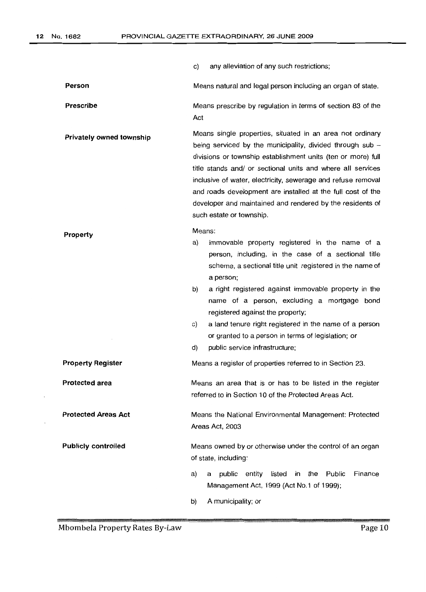|                            | C)<br>any alleviation of any such restrictions;                                                                                                                                                                                                                                                                                                                                                                                                                                                               |  |
|----------------------------|---------------------------------------------------------------------------------------------------------------------------------------------------------------------------------------------------------------------------------------------------------------------------------------------------------------------------------------------------------------------------------------------------------------------------------------------------------------------------------------------------------------|--|
| Person                     | Means natural and legal person including an organ of state.                                                                                                                                                                                                                                                                                                                                                                                                                                                   |  |
| <b>Prescribe</b>           | Means prescribe by regulation in terms of section 83 of the<br>Act                                                                                                                                                                                                                                                                                                                                                                                                                                            |  |
| Privately owned township   | Means single properties, situated in an area not ordinary<br>being serviced by the municipality, divided through sub $-$<br>divisions or township establishment units (ten or more) full<br>title stands and/ or sectional units and where all services<br>inclusive of water, electricity, sewerage and refuse removal<br>and roads development are installed at the full cost of the<br>developer and maintained and rendered by the residents of<br>such estate or township.                               |  |
| Property                   | Means:<br>immovable property registered in the name of a<br>a)<br>person, including, in the case of a sectional title<br>scheme, a sectional title unit registered in the name of<br>a person;<br>b)<br>a right registered against immovable property in the<br>name of a person, excluding a mortgage bond<br>registered against the property;<br>C)<br>a land tenure right registered in the name of a person<br>or granted to a person in terms of legislation; or<br>public service infrastructure;<br>d) |  |
| <b>Property Register</b>   | Means a register of properties referred to in Section 23.                                                                                                                                                                                                                                                                                                                                                                                                                                                     |  |
| <b>Protected area</b>      | Means an area that is or has to be listed in the register<br>referred to in Section 10 of the Protected Areas Act.                                                                                                                                                                                                                                                                                                                                                                                            |  |
| <b>Protected Areas Act</b> | Means the National Environmental Management: Protected<br>Areas Act, 2003                                                                                                                                                                                                                                                                                                                                                                                                                                     |  |
| <b>Publicly controlled</b> | Means owned by or otherwise under the control of an organ<br>of state, including:<br>public<br>entity<br>listed<br>in the<br>Finance<br>a)<br>Public<br>a<br>Management Act, 1999 (Act No.1 of 1999);<br>A municipality; or<br>b)                                                                                                                                                                                                                                                                             |  |

Mbombela Property Rates By-Law

.....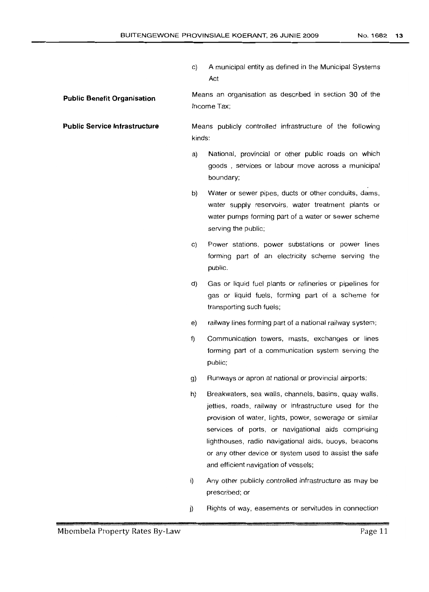c) A municipal entity as defined in the Municipal Systems Act

**Public Benefit Organisation** Means an organisation as described in section 30 of the Income Tax;

**Public Service Infrastructure** Means publicly controlled infrastructure of the following kinds:

- a) National, provincial or other public roads on which goods, services or labour move across a municipal boundary;
- b) Water or sewer pipes, ducts or other conduits, dams, water supply reservoirs, water treatment plants or water pumps forming part of a water or sewer scheme serving the public;
- c) Power stations, power substations or power lines forming part of an electricity scheme serving the public.
- d) Gas or liquid fuel plants or refineries or pipelines for gas or liquid fuels, forming part of a scheme for transporting such fuels;
- e) railway lines forming part of a national railway system;
- f) Communication towers, masts, exchanges or lines forming part of a communication system serving the public;
- g) Runways or apron at national or provincial airports;
- h) Breakwaters, sea walls, channels, basins, quay walls, jetties, roads, railway or infrastructure used for the provision of water, lights, power, sewerage or similar services of ports, or navigational aids comprising lighthouses, radio navigational aids, buoys, beacons or any other device or system used to assist the safe and efficient navigation of vessels;
- i) Any other publicly controlled infrastructure as may be prescribed; or
- j) Rights of way, easements or servitudes in connection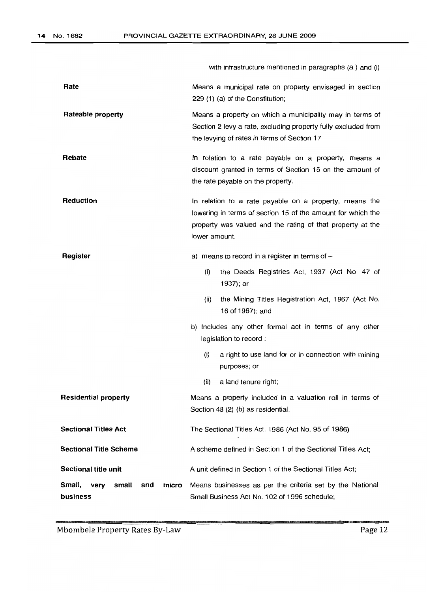with infrastructure mentioned in paragraphs (a) and (i)

| Rate |                                  |  | Means a municipal rate on property envisaged in section |  |
|------|----------------------------------|--|---------------------------------------------------------|--|
|      | 229 (1) (a) of the Constitution; |  |                                                         |  |

**Rateable property** Means a property on which a municipality may in terms of Section 2 levy a rate, excluding property fully excluded from the levying of rates in terms of Section 17

- **Rebate** In relation to a rate payable on a property, means a discount granted in terms of Section 15 on the amount of the rate payable on the property.
- **Reduction** In relation to a rate payable on a property, means the lowering in terms of section 15 of the amount for which the property was valued and the rating of that property at the lower amount.
- **Register** a) means to record in a register in terms of  $-$ 
	- (i) the Deeds Registries Act, 1937 (Act No. 47 of 1937); or
	- (ii) the Mining Titles Registration Act, 1967 (Act No. 16 of 1967); and
	- b) Includes any other formal act in terms of any other legislation to record:
		- (i) a right to use land for or in connection with mining purposes; or
		- (ii) a land tenure right;

Means a property included in a valuation roll in terms of Section 48 (2) (b) as residential.

- **Sectional Titles Act** The Sectional Titles Act, 1986 (Act No. 95 of 1986)
- **Sectional Title Scheme** A scheme defined in Section 1 of the Sectional Titles Act;
- **Sectional title unit** A unit defined in Section 1 of the Sectional Titles Act;
- **Small, very small and business** micro Means businesses as per the criteria set by the National Small Business Act No. 102 of 1996 schedule;

**Residential property**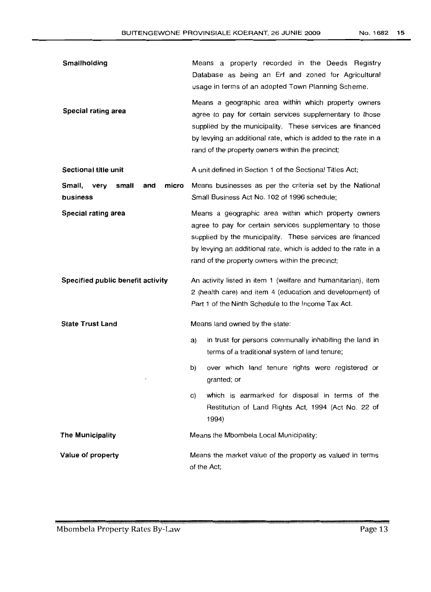| Smallholding                                        | Means a property recorded in the Deeds Registry<br>Database as being an Erf and zoned for Agricultural<br>usage in terms of an adopted Town Planning Scheme.                                                                                                                                        |
|-----------------------------------------------------|-----------------------------------------------------------------------------------------------------------------------------------------------------------------------------------------------------------------------------------------------------------------------------------------------------|
| <b>Special rating area</b>                          | Means a geographic area within which property owners<br>agree to pay for certain services supplementary to those<br>supplied by the municipality. These services are financed<br>by levying an additional rate, which is added to the rate in a<br>rand of the property owners within the precinct; |
| Sectional title unit                                | A unit defined in Section 1 of the Sectional Titles Act;                                                                                                                                                                                                                                            |
| Small,<br>small<br>micro<br>very<br>and<br>business | Means businesses as per the criteria set by the National<br>Small Business Act No. 102 of 1996 schedule;                                                                                                                                                                                            |
| Special rating area                                 | Means a geographic area within which property owners<br>agree to pay for certain services supplementary to those<br>supplied by the municipality. These services are financed<br>by levying an additional rate, which is added to the rate in a<br>rand of the property owners within the precinct; |
| Specified public benefit activity                   | An activity listed in item 1 (welfare and humanitarian), item<br>2 (health care) and item 4 (education and development) of<br>Part 1 of the Ninth Schedule to the Income Tax Act.                                                                                                                   |
| <b>State Trust Land</b>                             | Means land owned by the state:                                                                                                                                                                                                                                                                      |
|                                                     | in trust for persons communally inhabiting the land in<br>a)<br>terms of a traditional system of land tenure;                                                                                                                                                                                       |
|                                                     | over which land tenure rights were registered or<br>b)<br>granted; or                                                                                                                                                                                                                               |
|                                                     | which is earmarked for disposal in terms of the<br>C)<br>Restitution of Land Rights Act, 1994 (Act No. 22 of<br>1994)                                                                                                                                                                               |
| <b>The Municipality</b>                             | Means the Mbombela Local Municipality;                                                                                                                                                                                                                                                              |
| Value of property                                   | Means the market value of the property as valued in terms<br>of the Act;                                                                                                                                                                                                                            |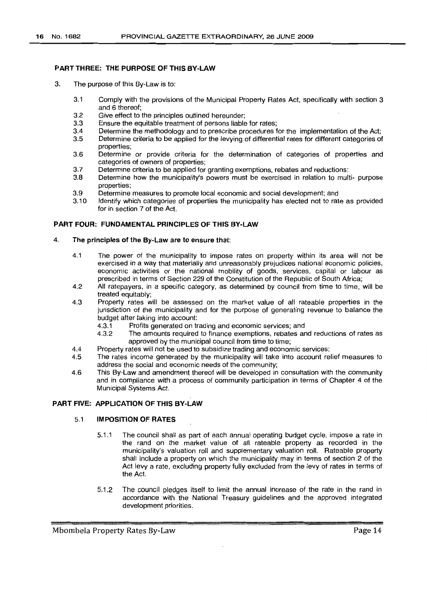#### **PART THREE: THE PURPOSE OF THIS BY-LAW**

- 3. The purpose of this By-Law is to:
	- 3.1 Comply with the provisions of the Municipal Property Rates Act, specifically with section 3 and 6 thereof;
	- 3.2 Give effect to the principles outlined hereunder;
	- 3.3 Ensure the equitable treatment of persons liable for rates;
	- 3.4 Determine the methodology and to prescribe procedures for the implementation of the Act;
	- 3.5 Determine criteria to be applied for the levying of differential rates for different categories of properties;
	- 3.6 Determine or provide criteria for the determination of categories of properties and categories of owners of properties;
	- 3.7 Determine criteria to be applied for granting exemptions, rebates and reductions;
	- 3.8 Determine how the municipality's powers must be exercised in relation to multi- purpose properties;
	- 3.9 Determine measures to promote local economic and social development; and
	- 3.10 Identify which categories of properties the municipality has elected not to rate as provided for in section 7 of the Act.

#### **PART FOUR: FUNDAMENTAL PRINCIPLES OF THIS BY-LAW**

#### 4. **The principles of the By-Law are to ensure that:**

- 4.1 The power of the municipality to impose rates on property within its area will not be exercised in a way that materially and unreasonably prejudices national economic policies, economic activities or the national mobility of goods, services, capital or labour as prescribed in terms of Section 229 of the Constitution of the Republic of South Africa;
- 4.2 All ratepayers, in a specific category, as determined by council from time to time, will be treated equitably;
- 4.3 Property rates will be assessed on the market value of all rateable properties in the jurisdiction of the municipality and for the purpose of generating revenue to balance the budqet after taking into account:
	- 4.3.1 Profits generated on trading and economic services; and
	- 4.3.2 The amounts required to finance exemptions, rebates and reductions of rates as approved by the municipal council from time to time;
- 4.4 Property rates will not be used to subsidize trading and economic services;
- 4.5 The rates income generated by the municipality will take into account relief measures to address the social and economic needs of the community;
- 4.6 This By-Law and amendment thereof will be developed in consultation with the community and in compliance with a process of community participation in terms of Chapter 4 of the Municipal Systems Act.

#### **PART FIVE: APPLICATION OF THIS BY-LAW**

#### 5.1 **IMPOSITION OF RATES**

- 5.1.1 The council shall as part of each annual operating budget cycle, impose a rate in the rand on the market value of all rateable property as recorded in the municipality's valuation roll and supplementary valuation roll. Rateable property shall include a property on which the municipality may in terms of section 2 of the Act levy a rate, excluding property fully excluded from the levy of rates in terms of the Act.
- 5.1 .2 The council pledges itself to limit the annual increase of the rate in the rand in accordance with the National Treasury guidelines and the approved integrated development priorities.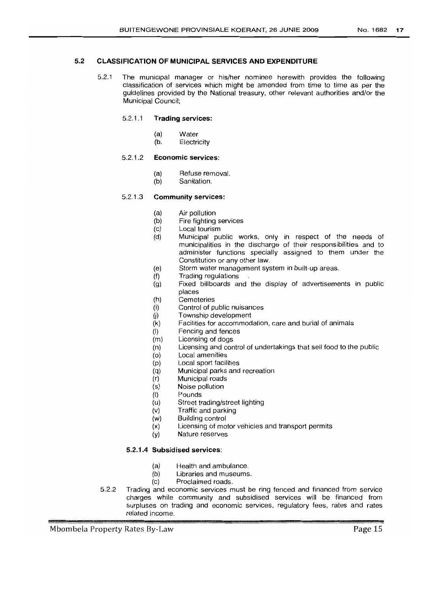#### 5.2 CLASSIFICATION OF MUNICIPAL SERVICES AND EXPENDITURE

5.2.1 The municipal manager or his/her nominee herewith provides the following classification of services which might be amended from time to time as per the guidelines provided by the National treasury, other relevant authorities and/or the Municipal Council;

#### 5.2.1 .1 Trading services:

- (a) Water
- (b. Electricity

#### 5.2.1 .2 Economic services:

- (a) Refuse removal.
- (b) Sanitation.

#### 5.2.1 .3 Community services:

- (a) Air pollution
- (b) Fire fighting services
- (c) Local tourism
- (d) Municipal public works, only in respect of the needs of municipalities in the discharge of their responsibilities and to administer functions specially assigned to them under the Constitution or any other law.
- (e) Storm water management system in built-up areas.
- (f) Trading regulations
- (g) Fixed billboards and the display of advertisements in public places
- (h) Cemeteries
- (i) Control of public nuisances
- $(i)$  Township development
- (k) Facilities for accommodation, care and burial of animals
- (I) Fencing and fences
- (m) Licensing of dogs
- (n) Licensing and control of undertakings that sell food to the public
- (0) Local amenities
- (p) Local sport facilities
- (q) Municipal parks and recreation
- (r) Municipal roads
- (s) Noise pollution
- (t) Pounds
- (u) Street trading/street lighting
- (v) Traffic and parking
- (w) BUilding control
- (x) Licensing of motor vehicles and transport permits
- (y) Nature reserves

#### 5.2.1.4 Subsidised services:

- (a) Health and ambulance.<br>(b) Libraries and museums
- (b) Libraries and museums.<br>(c) Proclaimed roads.
- Proclaimed roads.
- 5.2.2 Trading and economic services must be ring fenced and financed from service charges while community and subsidised services will be financed from surpluses on trading and economic services, regulatory fees, rates and rates related income.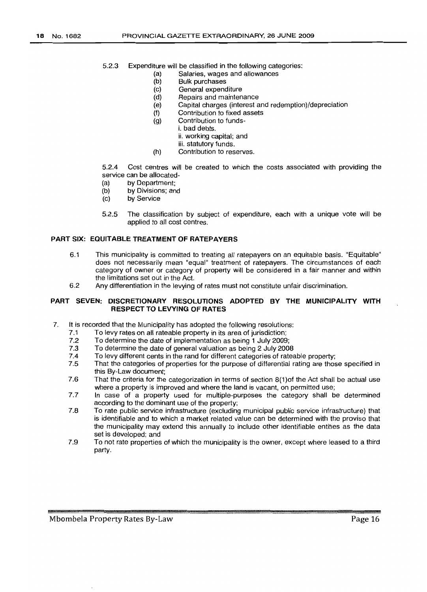- 5.2.3 Expenditure will be classified in the following categories:
	- (a) Salaries, wages and allowances
		- (b) Bulk purchases
		- (c) General expenditure
	- (d) Repairs and maintenance
	- (e) Capital charges (interest and redemption)/depreciation
	- (f) Contribution to fixed assets
	- (g) Contribution to funds
		- i. bad debts.

ii. working capital; and

- iii. statutory funds.
- (h) Contribution to reserves.

5.2.4 Cost centres will be created to which the costs associated with providing the service can be allocated-

- (a) by Department;
- (b) by Divisions; and
- (c) by Service
- 5.2.5 The classification by subject of expenditure, each with a unique vote will be applied to all cost centres.

#### PART SIX: EQUITABLE TREATMENT OF RATEPAYERS

- 6.1 This municipality is committed to treating all ratepayers on an equitable basis. "Equitable" does not necessarily mean "equal" treatment of ratepayers. The circumstances of each category of owner or category of property will be considered in a fair manner and within the limitations set out in the Act.
- 6.2 Any differentiation in the levying of rates must not constitute unfair discrimination.

#### PART SEVEN: DISCRETIONARY RESOLUTIONS ADOPTED BY THE MUNICIPALITY WITH RESPECT TO LEVYING OF RATES

- 7. It is recorded that the Municipality has adopted the following resolutions:
	- 7.1 To levy rates on all rateable property in its area of jurisdiction;<br>7.2 To determine the date of implementation as being 1 July 2009
	- 7.2 To determine the date of implementation as being 1 July 2009;
	- 7.3 To determine the date of general valuation as being 2 July 2008<br>7.4 To levy different cents in the rand for different categories of rates
	- 7.4 To levy different cents in the rand for different categories of rateable property;<br>7.5 That the categories of properties for the purpose of differential rating are thos
	- That the categories of properties for the purpose of differential rating are those specified in this By-Law document;
	- 7.6 That the criteria for the categorization in terms of section 8(1)of the Act shall be actual use where a property is improved and where the land is vacant, on permitted use;
	- 7.7 In case of a property used for multiple-purposes the category shall be determined according to the dominant use of the property;
	- 7.8 To rate public service infrastructure (excluding municipal public service infrastructure) that is identifiable and to which a market related value can be determined with the proviso that the municipality may extend this annually to include other identifiable entities as the data set is developed; and
	- 7.9 To not rate properties of which the municipality is the owner, except where leased to a third party.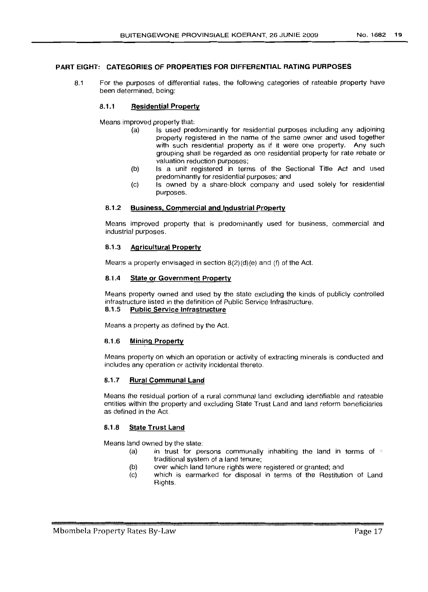#### **PART EIGHT: CATEGORIES OF PROPERTIES FOR DIFFERENTIAL RATING PURPOSES**

8.1 For the purposes of differential rates, the following categories of rateable property have been determined, being:

#### 8.1.1 **Residential Property**

Means improved property that:

- $(a)$  Is used predominantly for residential purposes including any adjoining property registered in the name of the same owner and used together with such residential property as if it were one property. Any such grouping shall be regarded as one residential property for rate rebate or valuation reduction purposes;
- (b) Is a unit registered in terms of the Sectional Title Act and used predominantly for residential purposes; and
- (c) Is owned by a share-block company and used solely for residential purposes.

#### 8.1.2 **Business, Commercial and Industrial Property**

Means improved property that is predominantly used for business, commercial and industrial purposes.

#### 8.1.3 **Agricultural Property**

Means a property envisaged in section  $8(2)(d)(e)$  and (f) of the Act.

#### 8.1.4 **State or Government Property**

Means property owned and used by the state excluding the kinds of publicly controlled infrastructure listed in the definition of Public Service Infrastructure.

## 8.1.5 **Public Service Infrastructure**

Means a property as defined by the Act.

#### 8.1.6 **Mining Property**

Means property on which an operation or activity of extracting minerals is conducted and includes any operation or activity incidental thereto.

#### 8.1.7 **Rural Communal Land**

Means the residual portion of a rural communal land excluding identifiable and rateable entities within the property and excluding State Trust Land and land reform beneficiaries as defined in the Act.

#### 6.1.8 **State Trust Land**

Means land owned by the state:

- (a) in trust for persons communally inhabiting the land in terms of  $\circ$ traditional system of a land tenure;
- (b) over which land tenure rights were registered or granted; and
- (c) which is earmarked for disposal in terms of the Restitution of Land Rights.

lew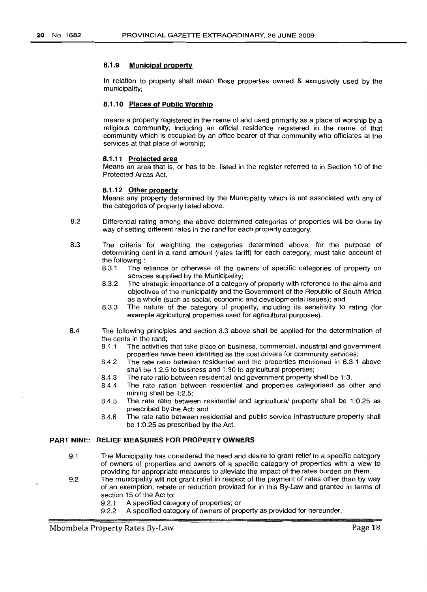#### **8.1.9 Municipal property**

In relation to property shall mean those properties owned & exclusively used by the municipality;

#### **8.1.10 Places of Public Worship**

means a property registered in the name of and used primarily as a place of worship by a religious community, including an official residence registered in the name of that community which is occupied by an office bearer of that community who officiates at the services at that place of worship:

#### **8.1.11 Protected area**

Means an area that is, or has to be. listed in the register referred to in Section 10 of the Protected Areas Act.

#### **8.1.12 Other property**

Means any property determined by the Municipality which is not associated with any of the categories of property listed above.

- 8.2 Differential rating among the above determined categories of properties will be done by way of setting different rates in the rand for each property category.
- 8.3 The criteria for weighting the categories determined above, for the purpose of determining cent in a rand amount (rates tariff) for each category, must take account of the following:
	- 8.3.1 The reliance or otherwise of the owners of specific categories of property on services supplied by the Municipality;
	- 8.3.2 The strategic importance of a category of property with reference to the aims and objectives of the municipality and the Government of the Republic of South Africa as a whole (such as social, economic and developmental issues); and
	- 8.3.3 The nature of the category of property, including its sensitivity to rating (for example agricultural properties used for agricultural purposes).
- 8.4 The following principles and section 8.3 above shall be applied for the determination of the cents in the rand;<br>8.4.1 The activities
	- The activities that take place on business, commercial, industrial and government properties have been identified as the cost drivers for community services;
	- 8.4.2 The rate ratio between residential and the properties mentioned in 8.3.1 above shall be 1:2.5 to business and 1:30 to agricultural properties;
	- 8.4.3 The rate ratio between residential and government property shall be 1:3.
	- 8.4.4 The rate ration between residential and properties categorised as other and mining shall be 1:2.5;
	- 8.4.5 The rate ratio between residential and agricultural property shall be 1:0.25 as prescribed by the Act; and '
	- 8.4.6 The rate ratio between residential and public service infrastructure property shall be 1:0.25 as prescribed by the Act.

#### **PART NINE: RELIEF MEASURES FOR PROPERTY OWNERS**

- 9.1 The Municipality has considered the need and desire to grant relief to a specific category of owners of properties and owners of a specific category of properties with a view to providing for appropriate measures to alleviate the impact of the rates burden on them.
- 9.2 The municipality will not grant relief in respect of the payment of rates other than by way of an exemption, rebate or reduction provided for in this By-Law and granted in terms of section 15 of the Act to:
	- 9.2.1 A specified category of properties; or
	- 9.2.2 A specified category of owners of property as provided for hereunder.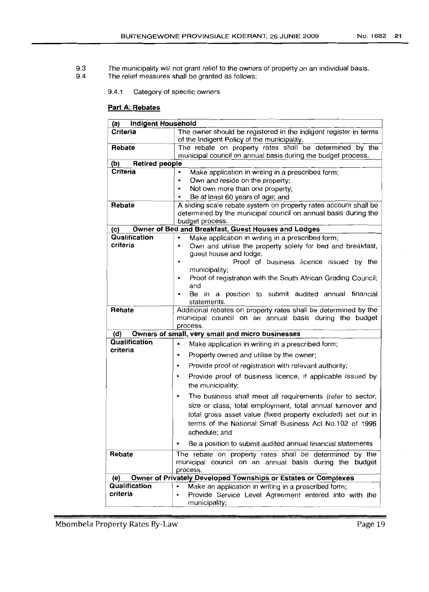- 9.3 The municipality will not grant relief to the owners of property on an individual basis.<br>9.4 The relief measures shall be granted as follows:
	- The relief measures shall be granted as follows;
		- 9.4.1 Category of specific owners

## **Part A: Rebates**

| <b>Indigent Household</b><br>(a)                                          |                                                                    |  |  |
|---------------------------------------------------------------------------|--------------------------------------------------------------------|--|--|
| Criteria                                                                  | The owner should be registered in the indigent register in terms   |  |  |
|                                                                           | of the Indigent Policy of the municipality.                        |  |  |
| Rebate                                                                    | The rebate on property rates shall be determined by the            |  |  |
|                                                                           | municipal council on annual basis during the budget process.       |  |  |
| <b>Retired people</b><br>(b)                                              |                                                                    |  |  |
| Criteria                                                                  | $\bullet$<br>Make application in writing in a prescribed form;     |  |  |
|                                                                           | Own and reside on the property;<br>۰                               |  |  |
|                                                                           | Not own more than one property;<br>$\bullet$                       |  |  |
|                                                                           | Be at least 60 years of age; and<br>٠                              |  |  |
| <b>Rebate</b>                                                             | A sliding scale rebate system on property rates account shall be   |  |  |
|                                                                           | determined by the municipal council on annual basis during the     |  |  |
|                                                                           | budget process.                                                    |  |  |
| (c)                                                                       | Owner of Bed and Breakfast, Guest Houses and Lodges                |  |  |
| Qualification                                                             | Make application in writing in a prescribed form;<br>$\bullet$     |  |  |
| criteria                                                                  | Own and utilise the property solely for bed and breakfast,<br>۰    |  |  |
|                                                                           | guest house and lodge;                                             |  |  |
|                                                                           | Proof of business licence issued by the                            |  |  |
|                                                                           | municipality;                                                      |  |  |
|                                                                           | Proof of registration with the South African Grading Council;<br>٠ |  |  |
|                                                                           | and                                                                |  |  |
|                                                                           | Be in a position to submit audited annual financial                |  |  |
|                                                                           | statements.                                                        |  |  |
| Rebate<br>Additional rebates on property rates shall be determined by the |                                                                    |  |  |
|                                                                           | municipal council on an annual basis during the budget             |  |  |
|                                                                           | process.                                                           |  |  |
| (d)                                                                       | Owners of small, very small and micro businesses                   |  |  |
| Qualification<br>٠                                                        |                                                                    |  |  |
| criteria                                                                  | Make application in writing in a prescribed form;                  |  |  |
|                                                                           | Property owned and utilise by the owner;<br>٠                      |  |  |
|                                                                           | Provide proof of registration with relevant authority;<br>٠        |  |  |
|                                                                           | Provide proof of business licence, if applicable issued by<br>٠    |  |  |
|                                                                           | the municipality;                                                  |  |  |
|                                                                           | The business shall meet all requirements (refer to sector,<br>٠    |  |  |
|                                                                           | size or class, total employment, total annual turnover and         |  |  |
|                                                                           | total gross asset value (fixed property excluded) set out in       |  |  |
|                                                                           |                                                                    |  |  |
|                                                                           | terms of the National Small Business Act No.102 of 1996            |  |  |
|                                                                           | schedule; and                                                      |  |  |
|                                                                           | Be a position to submit audited annual financial statements        |  |  |
| Hebate                                                                    | The rebate on property rates shall be determined by the            |  |  |
|                                                                           | municipal council on an annual basis during the<br>budget          |  |  |
|                                                                           | process.                                                           |  |  |
| (e)                                                                       | Owner of Privately Developed Townships or Estates or Complexes     |  |  |
| Qualification                                                             | Make an application in writing in a prescribed form;               |  |  |
| criteria                                                                  | Provide Service Level Agreement entered into with the              |  |  |
|                                                                           | municipality;                                                      |  |  |
|                                                                           |                                                                    |  |  |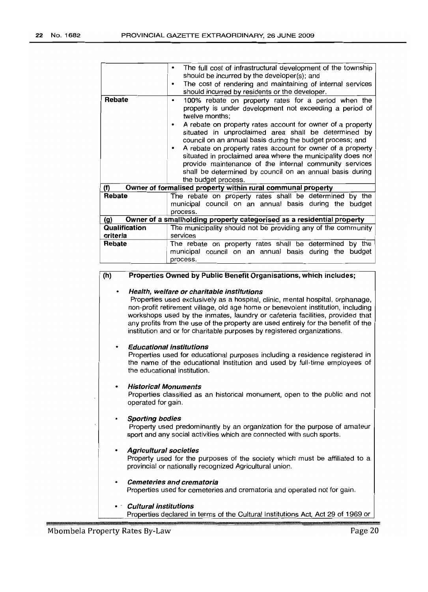| Rebate                                                                                                                                  | The full cost of infrastructural development of the township<br>٠<br>should be incurred by the developer(s); and<br>The cost of rendering and maintaining of internal services<br>٠<br>should incurred by residents or the developer.<br>100% rebate on property rates for a period when the<br>property is under development not exceeding a period of<br>twelve months:<br>A rebate on property rates account for owner of a property<br>٠ |
|-----------------------------------------------------------------------------------------------------------------------------------------|----------------------------------------------------------------------------------------------------------------------------------------------------------------------------------------------------------------------------------------------------------------------------------------------------------------------------------------------------------------------------------------------------------------------------------------------|
|                                                                                                                                         | situated in unproclaimed area shall be determined by<br>council on an annual basis during the budget process; and<br>A rebate on property rates account for owner of a property<br>٠<br>situated in proclaimed area where the municipality does not<br>provide maintenance of the internal community services                                                                                                                                |
|                                                                                                                                         | shall be determined by council on an annual basis during<br>the budget process.                                                                                                                                                                                                                                                                                                                                                              |
| (f)                                                                                                                                     | Owner of formalised property within rural communal property                                                                                                                                                                                                                                                                                                                                                                                  |
| The rebate on property rates shall be determined by the<br>Rebate<br>municipal council on an annual basis during the budget<br>process. |                                                                                                                                                                                                                                                                                                                                                                                                                                              |
| (g)                                                                                                                                     | Owner of a smallholding property categorised as a residential property                                                                                                                                                                                                                                                                                                                                                                       |
| Qualification<br>criteria                                                                                                               | The municipality should not be providing any of the community<br>services                                                                                                                                                                                                                                                                                                                                                                    |
| Rebate                                                                                                                                  | The rebate on property rates shall be determined by the<br>municipal council on an annual basis during the budget<br>process.                                                                                                                                                                                                                                                                                                                |

#### (h) **Properties Owned by Public Benefit Organisations, which includes;**

#### **Health, welfare or charitable institutions**

Properties used exclusively as a hospital, clinic, mental hospital, orphanage, non-profit retirement village, old age home or benevolent institution, including workshops used by the inmates, laundry or cafeteria facilities, provided that any profits from the use of the property are used entirely for the benefit of the institution and or for charitable purposes by registered organizations.

#### **Educational institutions**

Properties used for educational purposes including a residence registered in the name of the educational institution and used by full-time employees of the educational institution.

#### **Historical Monuments**

Properties classified as an historical monument, open to the public and not operated for gain.

#### **Sporting bodies**

Property used predominantly by an organization for the purpose of amateur sport and any social activities which are connected with such sports.

### **Agricultural societies**

Property used for the purposes of the society which must be affiliated to a provincial or nationally recognized Agricultural union.

- **Cemeteries and crematoria** Properties used for cemeteries and crematoria and operated not for gain.
- - **Cultural institutions** Properties declared in terms of the Cultural Institutions Act, Act 29 of 1969 or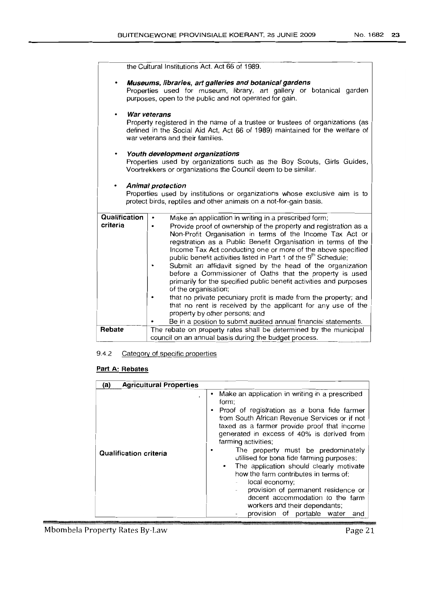|                                                                                                                                                                                                                                                                                                                                                                                                                 | the Cultural Institutions Act. Act 66 of 1989.                                                                                                                                                                                                                                                                                                                                                                                                                                                                                                                                                                                                                                                                                                                                                                                                                                                  |  |  |  |
|-----------------------------------------------------------------------------------------------------------------------------------------------------------------------------------------------------------------------------------------------------------------------------------------------------------------------------------------------------------------------------------------------------------------|-------------------------------------------------------------------------------------------------------------------------------------------------------------------------------------------------------------------------------------------------------------------------------------------------------------------------------------------------------------------------------------------------------------------------------------------------------------------------------------------------------------------------------------------------------------------------------------------------------------------------------------------------------------------------------------------------------------------------------------------------------------------------------------------------------------------------------------------------------------------------------------------------|--|--|--|
| Museums, libraries, art galleries and botanical gardens<br>Properties used for museum, library, art gallery or botanical garden<br>purposes, open to the public and not operated for gain.<br>War veterans<br>Property registered in the name of a trustee or trustees of organizations (as<br>defined in the Social Aid Act, Act 66 of 1989) maintained for the welfare of<br>war veterans and their families. |                                                                                                                                                                                                                                                                                                                                                                                                                                                                                                                                                                                                                                                                                                                                                                                                                                                                                                 |  |  |  |
| Youth development organizations<br>Properties used by organizations such as the Boy Scouts, Girls Guides,<br>Voortrekkers or organizations the Council deem to be similar.<br><b>Animal protection</b><br>Properties used by institutions or organizations whose exclusive aim is to<br>protect birds, reptiles and other animals on a not-for-gain basis.                                                      |                                                                                                                                                                                                                                                                                                                                                                                                                                                                                                                                                                                                                                                                                                                                                                                                                                                                                                 |  |  |  |
| Qualification<br>criteria                                                                                                                                                                                                                                                                                                                                                                                       | Make an application in writing in a prescribed form;<br>$\bullet$<br>Provide proof of ownership of the property and registration as a<br>$\bullet$<br>Non-Profit Organisation in terms of the Income Tax Act or<br>registration as a Public Benefit Organisation in terms of the<br>Income Tax Act conducting one or more of the above specified<br>public benefit activities listed in Part 1 of the 9 <sup>th</sup> Schedule;<br>Submit an affidavit signed by the head of the organization<br>before a Commissioner of Oaths that the property is used<br>primarily for the specified public benefit activities and purposes<br>of the organisation;<br>that no private pecuniary profit is made from the property; and<br>that no rent is received by the applicant for any use of the<br>property by other persons; and<br>Be in a position to submit audited annual financial statements. |  |  |  |
| Rebate                                                                                                                                                                                                                                                                                                                                                                                                          | The rebate on property rates shall be determined by the municipal                                                                                                                                                                                                                                                                                                                                                                                                                                                                                                                                                                                                                                                                                                                                                                                                                               |  |  |  |
|                                                                                                                                                                                                                                                                                                                                                                                                                 | council on an annual basis during the budget process.                                                                                                                                                                                                                                                                                                                                                                                                                                                                                                                                                                                                                                                                                                                                                                                                                                           |  |  |  |

## 9.4.2 Category of specific properties

## Part A: Rebates

| <b>Agricultural Properties</b><br>(a) |                                                                                                                                                                                                                                                                                                                                                                                                                                                                                                                                                                                                                                          |
|---------------------------------------|------------------------------------------------------------------------------------------------------------------------------------------------------------------------------------------------------------------------------------------------------------------------------------------------------------------------------------------------------------------------------------------------------------------------------------------------------------------------------------------------------------------------------------------------------------------------------------------------------------------------------------------|
| ٠<br><b>Qualification criteria</b>    | Make an application in writing in a prescribed<br>form:<br>Proof of registration as a bona fide farmer<br>from South African Revenue Services or if not<br>taxed as a farmer provide proof that income<br>generated in excess of 40% is derived from<br>farming activities;<br>The property must be predominately<br>utilised for bona fide farming purposes;<br>The application should clearly motivate<br>$\bullet$<br>how the farm contributes in terms of:<br>local economy;<br>provision of permanent residence or<br>decent accommodation to the farm<br>workers and their dependants;<br>provision<br>portable water<br>of<br>and |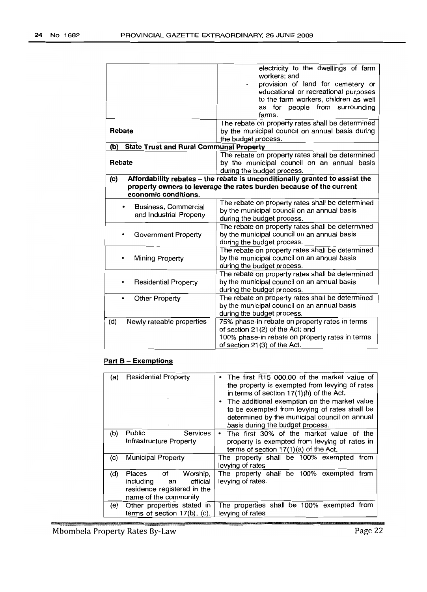|                                                       | electricity to the dwellings of farm<br>workers; and<br>provision of land for cemetery or<br>educational or recreational purposes<br>to the farm workers, children as well<br>as for people from surrounding<br>farms. |  |  |  |
|-------------------------------------------------------|------------------------------------------------------------------------------------------------------------------------------------------------------------------------------------------------------------------------|--|--|--|
|                                                       | The rebate on property rates shall be determined                                                                                                                                                                       |  |  |  |
| Rebate                                                | by the municipal council on annual basis during                                                                                                                                                                        |  |  |  |
| <b>State Trust and Rural Communal Property</b><br>(b) | the budget process.                                                                                                                                                                                                    |  |  |  |
|                                                       | The rebate on property rates shall be determined                                                                                                                                                                       |  |  |  |
| Rebate                                                | by the municipal council on an annual basis                                                                                                                                                                            |  |  |  |
|                                                       | during the budget process.                                                                                                                                                                                             |  |  |  |
| (c)                                                   | Affordability rebates - the rebate is unconditionally granted to assist the                                                                                                                                            |  |  |  |
|                                                       | property owners to leverage the rates burden because of the current                                                                                                                                                    |  |  |  |
| economic conditions.                                  |                                                                                                                                                                                                                        |  |  |  |
| Business, Commercial                                  | The rebate on property rates shall be determined                                                                                                                                                                       |  |  |  |
| and Industrial Property                               | by the municipal council on an annual basis                                                                                                                                                                            |  |  |  |
|                                                       | during the budget process.                                                                                                                                                                                             |  |  |  |
| <b>Government Property</b>                            | The rebate on property rates shall be determined<br>by the municipal council on an annual basis                                                                                                                        |  |  |  |
|                                                       | during the budget process.                                                                                                                                                                                             |  |  |  |
|                                                       | The rebate on property rates shall be determined                                                                                                                                                                       |  |  |  |
| Mining Property                                       | by the municipal council on an annual basis                                                                                                                                                                            |  |  |  |
|                                                       | during the budget process.                                                                                                                                                                                             |  |  |  |
|                                                       | The rebate on property rates shall be determined                                                                                                                                                                       |  |  |  |
| <b>Residential Property</b>                           | by the municipal council on an annual basis                                                                                                                                                                            |  |  |  |
|                                                       | during the budget process.                                                                                                                                                                                             |  |  |  |
| Other Property                                        | The rebate on property rates shall be determined                                                                                                                                                                       |  |  |  |
|                                                       | by the municipal council on an annual basis                                                                                                                                                                            |  |  |  |
|                                                       | during the budget process.<br>75% phase-in rebate on property rates in terms                                                                                                                                           |  |  |  |
| Newly rateable properties<br>(d)                      | of section 21(2) of the Act; and                                                                                                                                                                                       |  |  |  |
|                                                       | 100% phase-in rebate on property rates in terms                                                                                                                                                                        |  |  |  |
|                                                       | of section 21(3) of the Act.                                                                                                                                                                                           |  |  |  |

## **Part B - Exemptions**

| (a) | <b>Residential Property</b>                                                                                  | The first R15 000.00 of the market value of<br>the property is exempted from levying of rates<br>in terms of section 17(1)(h) of the Act.<br>The additional exemption on the market value<br>to be exempted from levying of rates shall be<br>determined by the municipal council on annual<br>basis during the budget process. |
|-----|--------------------------------------------------------------------------------------------------------------|---------------------------------------------------------------------------------------------------------------------------------------------------------------------------------------------------------------------------------------------------------------------------------------------------------------------------------|
| (b) | <b>Services</b><br><b>Public</b><br>Infrastructure Property                                                  | The first 30% of the market value of the<br>$\bullet$<br>property is exempted from levying of rates in                                                                                                                                                                                                                          |
|     |                                                                                                              | terms of section $17(1)(a)$ of the Act.                                                                                                                                                                                                                                                                                         |
| (C) | <b>Municipal Property</b>                                                                                    | The property shall be 100% exempted<br>from<br>levying of rates                                                                                                                                                                                                                                                                 |
| (d) | Worship,<br>Places of<br>official<br>including<br>an<br>residence registered in the<br>name of the community | The property shall be 100% exempted<br>from<br>levying of rates.                                                                                                                                                                                                                                                                |
| (e) | Other properties stated in                                                                                   | The properties shall be 100% exempted<br>trom                                                                                                                                                                                                                                                                                   |
|     | terms of section 17(b), (c),                                                                                 | levying of rates                                                                                                                                                                                                                                                                                                                |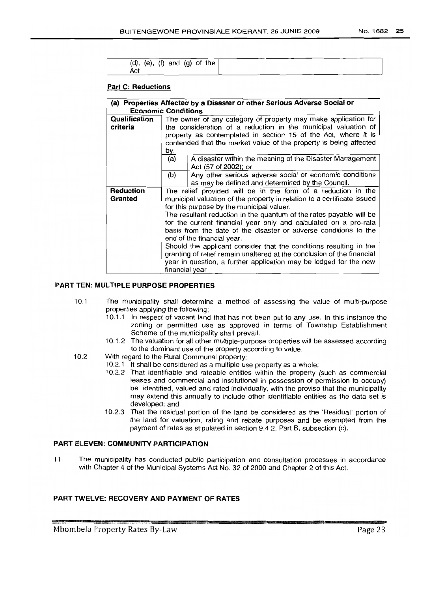| (d), (e), (f) and (g) of the $ $<br>Act |  |  |  |
|-----------------------------------------|--|--|--|
|-----------------------------------------|--|--|--|

## **Part C: Reductions**

| (a) Properties Affected by a Disaster or other Serious Adverse Social or |                                                                         |                                                          |  |  |
|--------------------------------------------------------------------------|-------------------------------------------------------------------------|----------------------------------------------------------|--|--|
| <b>Economic Conditions</b>                                               |                                                                         |                                                          |  |  |
| Qualification                                                            | The owner of any category of property may make application for          |                                                          |  |  |
| criteria                                                                 | the consideration of a reduction in the municipal valuation of          |                                                          |  |  |
|                                                                          | property as contemplated in section 15 of the Act, where it is          |                                                          |  |  |
|                                                                          | contended that the market value of the property is being affected       |                                                          |  |  |
|                                                                          | by:                                                                     |                                                          |  |  |
|                                                                          | (a)                                                                     | A disaster within the meaning of the Disaster Management |  |  |
|                                                                          |                                                                         | Act (57 of 2002); or                                     |  |  |
|                                                                          | (b)                                                                     | Any other serious adverse social or economic conditions  |  |  |
|                                                                          |                                                                         | as may be defined and determined by the Council.         |  |  |
| Reduction                                                                | The relief provided will be in the form of a reduction in the           |                                                          |  |  |
| Granted                                                                  | municipal valuation of the property in relation to a certificate issued |                                                          |  |  |
|                                                                          | for this purpose by the municipal valuer.                               |                                                          |  |  |
|                                                                          | The resultant reduction in the quantum of the rates payable will be     |                                                          |  |  |
|                                                                          | for the current financial year only and calculated on a pro-rata        |                                                          |  |  |
|                                                                          | basis from the date of the disaster or adverse conditions to the        |                                                          |  |  |
|                                                                          | end of the financial year.                                              |                                                          |  |  |
|                                                                          | Should the applicant consider that the conditions resulting in the      |                                                          |  |  |
|                                                                          | granting of relief remain unaltered at the conclusion of the financial  |                                                          |  |  |
|                                                                          | year in question, a further application may be lodged for the new       |                                                          |  |  |
|                                                                          | financial year                                                          |                                                          |  |  |

#### **PART TEN: MULTIPLE PURPOSE PROPERTIES**

- 10.1 The municipality shall determine a method of assessing the value of multi-purpose properties applying the following;
	- 10.1.1 In respect of vacant land that has not been put to any use. In this instance the zoning or permitted use as approved in terms of Township Establishment Scheme of the municipality shall prevail.
	- 10.1.2 The valuation for all other multiple-purpose properties will be assessed according to the dominant use of the property according to value.
- 10.2 With regard to the Rural Communal property;
	- 10.2.1 It shall be considered as a multiple use property as a whole;
	- 10.2.2 That identifiable and rateable entities within the property (such as commercial leases and commercial and institutional in possession of permission to occupy) be identified, valued and rated individually, with the proviso that the municipality may extend this annually to include other identifiable entities as the data set is developed; and
	- 10.2.3 That the residual portion of the land be considered as the 'Residual' portion of the land for valuation, rating and rebate purposes and be exempted from the payment of rates as stipulated in section 9.4.2, Part B, subsection (c).

## **PART ELEVEN: COMMUNITY PARTICIPATION**

11 The municipality has conducted public participation and consultation processes in accordance with Chapter 4 of the Municipal Systems Act No. 32 of 2000 and Chapter 2 of this Act.

## **PART TWELVE: RECOVERY AND PAYMENT OF RATES**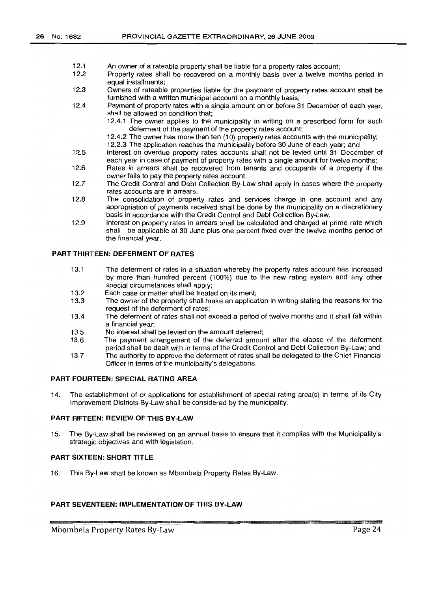- 12.1 An owner of a rateable property shall be liable for a property rates account;
- 12.2 Property rates shall be recovered on a monthly basis over a twelve months period in equal installments;
- 12.3 Owners of rateable properties liable for the payment of property rates account shall be furnished with a written municipal account on a monthly basis;
- 12.4 Payment of property rates with a single amount on or before 31 December of each year, shall be allowed on condition that;
	- 12.4.1 The owner applies to the municipality in writing on a prescribed form for such deferment of the payment of the property rates account;
	- 12.4.2 The owner has more than ten (10) property rates accounts with the municipality;
	- 12.2.3 The application reaches the municipality before 30 June of each year; and
- 12.5 Interest on overdue property rates accounts shall not be levied until 31 December of each year in case of payment of property rates with a single amount for twelve months;
- 12.6 Rates in arrears shall be recovered from tenants and occupants of a property if the owner fails to pay the property rates account.
- 12.7 The Credit Control and Debt Collection By-Law shall apply in cases where the property rates accounts are in arrears.
- 12.8 The consolidation of property rates and services charge in one account and any appropriation of payments received shall be done by the municipality on a discretionary basis in accordance with the Credit Control and Debt Collection By-Law.
- 12.9 Interest on property rates in arrears shall be calculated and charged at prime rate which shall be applicable at 30 June plus one percent fixed over the twelve months period of the financial year.

#### **PART THIRTEEN: DEFERMENT OF RATES**

- 13.1 The deferment of rates in a situation whereby the property rates account has increased by more than hundred percent (100%) due to the new rating system and any other special circumstances shall apply;
- 13.2 Each case or matter shall be treated on its merit;<br>13.3 The owner of the property shall make an applica
- The owner of the property shall make an application in writing stating the reasons for the request of the deferment of rates;
- 13.4 The deferment of rates shall not exceed a period of twelve months and it shall fall within a financial year;
- 13.5 No interest shall be levied on the amount deferred;
- 13.6 The payment arrangement of the deferred amount after the elapse of the deferment period shall be dealt with in terms of the Credit Control and Debt Collection By-Law; and
- 13.7 The authority to approve the deferment of rates shall be delegated to the Chief Financial Officer in terms of the municipality's delegations.

#### **PART FOURTEEN: SPECIAL RATING AREA**

14. The establishment of or applications for establishment of special rating area(s) in terms of its City Improvement Districts By-Law shall be considered by the municipality.

#### **PART FIFTEEN: REVIEW OF THIS BY-LAW**

15. The By-Law shall be reviewed on an annual basis to ensure that it complies with the Municipality's strategic objectives and with legislation.

#### **PART SIXTEEN: SHORT TITLE**

16. This By-Law shall be known as Mbombela Property Rates By-Law.

#### **PART SEVENTEEN: IMPLEMENTATION OF THIS BY-LAW**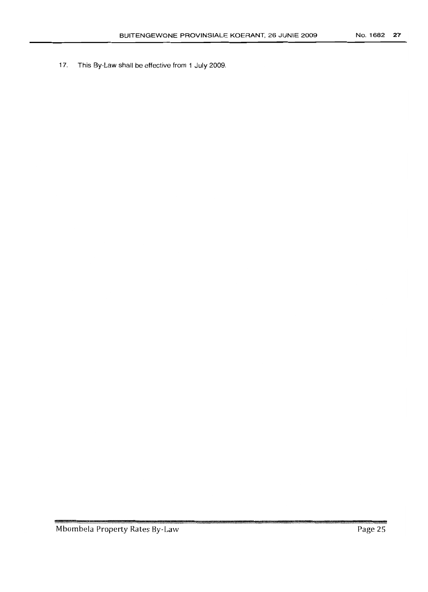17. This By-Law shall be effective from 1 July 2009.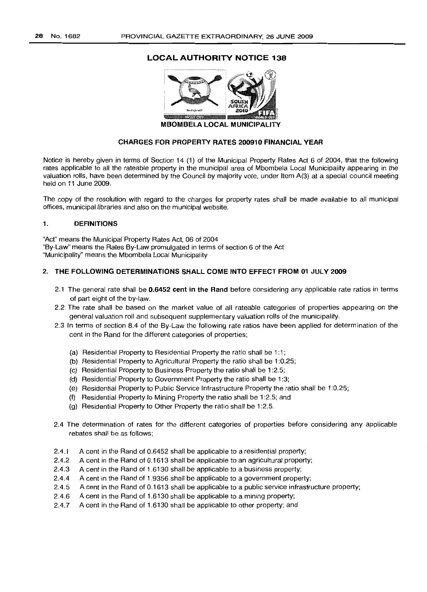## LOCAL AUTHORITY NOTICE 138



#### CHARGES FOR PROPERTY RATES 200910 FINANCIAL YEAR

Notice is hereby given in terms of Section 14 (1) of the Municipal Property Rates Act 6 of 2004, that the following rates applicable to all the rateable property in the municipal area of Mbombela Local Municipality appearing in the valuation rolls, have been determined by the Council by majority vote, under Item A(3) at a special council meeting held on 11 June 2009.

The copy of the resolution with regard to the charges for property rates shall be made available to all municipal offices, municipal libraries and also on the municipal website.

#### 1. DEFINITIONS

"Act" means the Municipal Property Rates Act, 06 of 2004 "By-Law" means the Rates By-Law promulgated in terms of section 6 of the Act "Municipality" means the Mbombela Local Municipality

#### 2. THE FOLLOWING DETERMINATIONS SHALL COME INTO EFFECT FROM 01 JULY 2009

- 2.1 The general rate shall be 0.6452 cent in the Rand before considering any applicable rate ratios in terms of part eight of the by-law.
- 2.2 The rate shall be based on the market value of all rateable categories of properties appearing on the general valuation roll and subsequent supplementary valuation rolls of the municipality.
- 2.3 In terms of section 8.4 of the By-Law the following rate ratios have been applied for determination of the cent in the Rand for the different categories of properties;
	- (a) Residential Property to Residential Property the ratio shall be 1:1;
	- (b) Residential Property to Agricultural Property the ratio shall be 1:0.25;
	- (c) Residential Property to Business Property the ratio shall be 1:2.5;
	- (d) Residential Property to Government Property the ratio shall be 1:3;
	- (e) Residential Property to Public Service Infrastructure Property the ratio shall be 1:0.25;
	- (f) Residential Property to Mining Property the ratio shall be 1:2.5; and
	- (g) Residential Property to Other Property the ratio shall be 1:2.5.
- 2.4 The determination of rates for the different categories of properties before considering any applicable rebates shall be as follows;
- 2.4.1 A cent in the Rand of 0.6452 shall be applicable to a residential property;
- 2.4.2 A cent in the Rand of 0.1613 shall be applicable to an agricultural property;
- 2.4.3 A cent in the Rand of 1.6130 shall be applicable to a business property;
- 2.4.4 A cent in the Rand of 1.9356 shall be applicable to a government property;
- 2.4.5 A cent in the Rand of 0.1613 shall be applicable to a public service infrastructure property;
- 2.4.6 A cent in the Rand of 1.6130 shall be applicable to a mining property;
- 2.4.7 A cent in the Rand of 1.6130 shall be applicable to other property; and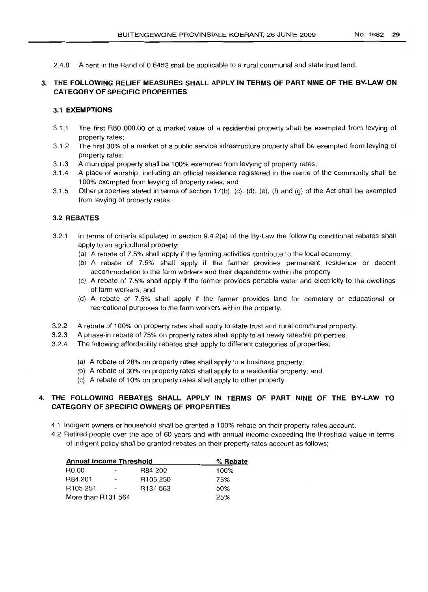2.4.8 A cent in the Rand of 0.6452 shall be applicable to a rural communal and state trust land.

## 3. **THE FOLLOWING RELIEF MEASURES SHALL APPLY IN TERMS OF PART NINE OF THE BY-LAW ON CATEGORY OF SPECIFIC PROPERTIES**

#### 3.1 **EXEMPTIONS**

- 3.1.1 The first R80 000.00 of a market value of a residential property shall be exempted from levying of property rates;
- 3.1.2 The first 30% of a market of a public service infrastructure property shall be exempted from levying of property rates;
- 3.1.3 A municipal property shall be 100% exempted from levying of property rates;
- 3.1.4 A place of worship, including an official residence registered in the name of the community shall be 100% exempted from levying of property rates; and
- 3.1.5 Other properties stated in terms of section 17(b), (c), (d), (e), (f) and (g) of the Act shall be exempted from levying of property rates.

#### 3.2 **REBATES**

- 3.2.1 In terms of criteria stipulated in section 9.4.2(a) of the By-Law the following conditional rebates shall apply to an agricultural property;
	- (a) A rebate of 7.5% shall apply if the farming activities contribute to the local economy;
	- (b) A rebate of 7.5% shall apply if the farmer provides permanent residence or decent accommodation to the farm workers and their dependents within the property
	- (c) A rebate of 7.5% shall apply if the farmer provides portable water and electricity to the dwellings of farm workers; and
	- (d) A rebate of 7.5% shall apply if the farmer provides land for cemetery or educational or recreational purposes to the farm workers within the property.
- 3.2.2 A rebate of 100% on property rates shall apply to state trust and rural communal property.
- 3.2.3 A phase-in rebate of 75% on property rates shall apply to all newly rateable properties.
- 3.2.4 The following affordability rebates shall apply to different categories of properties;
	- (a) A rebate of 28% on property rates shall apply to a business property;
	- (b) A rebate of 30% on property rates shall apply to a residential property; and
	- (c) A rebate of 10% on property rates shall apply to other property.

## 4. **THE FOLLOWING REBATES SHALL APPLY IN TERMS OF PART NINE OF THE BY-LAW TO CATEGORY OF SPECIFIC OWNERS OF PROPERTIES**

- 4.1 Indigent owners or household shall be granted a 100% rebate on their property rates account.
- 4.2 Retired people over the age of 60 years and with annual income exceeding the threshold value in terms of indigent policy shall be granted rebates on their property rates account as follows;

| Annual Income Threshold |                          |                      | % Rebate |
|-------------------------|--------------------------|----------------------|----------|
| R <sub>0.00</sub>       | $\overline{\phantom{a}}$ | R84 200              | 100%     |
| R84 201                 |                          | R <sub>105</sub> 250 | 75%      |
| R <sub>105</sub> 251    | $\frac{1}{2}$            | R <sub>131</sub> 563 | 50%      |
| More than R131 564      |                          |                      | 25%      |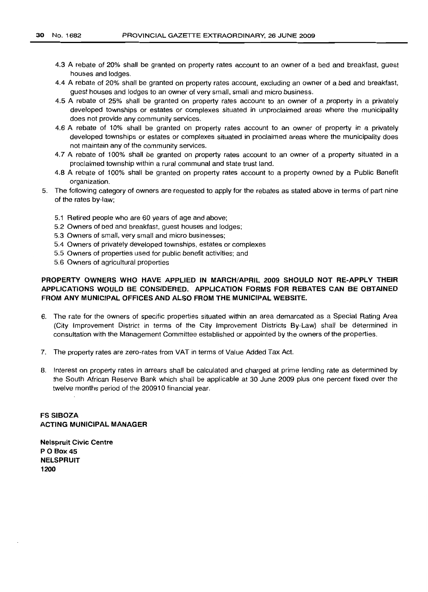- 4.3 A rebate of 20% shall be granted on property rates account to an owner of a bed and breakfast, guest houses and lodges.
- 4.4 A rebate of 20% shall be granted on property rates account, excluding an owner of a bed and breakfast, guest houses and lodges to an owner of very small, small and micro business.
- 4.5 A rebate of 25% shall be granted on property rates account to an owner of a property in a privately developed townships or estates or complexes situated in unproclaimed areas where the municipality does not provide any community services.
- 4.6 A rebate of 10% shall be granted on property rates account to an owner of property in a privately developed townships or estates or complexes situated in proclaimed areas where the municipality does not maintain any of the community services.
- 4.7 A rebate of 100% shall be granted on property rates account to an owner of a property situated in a proclaimed township within a rural communal and state trust land.
- 4.8 A rebate of 100% shall be granted on property rates account to a property owned by a Public Benefit organization.
- 5. The following category of owners are requested to apply for the rebates as stated above in terms of part nine of the rates by-law;
	- 5.1 Retired people who are 60 years of age and above;
	- 5.2 Owners of bed and breakfast, guest houses and lodges;
	- 5.3 Owners of small, very small and micro businesses;
	- 5.4 Owners of privately developed townships, estates or complexes
	- 5.5 Owners of properties used for public benefit activities; and
	- 5.6 Owners of agricultural properties

## **PROPERTY OWNERS WHO HAVE APPLIED IN MARCH/APRIL 2009 SHOULD NOT RE-APPLY THEIR APPLICATIONS WOULD BE CONSIDERED. APPLICATION FORMS FOR REBATES CAN BE OBTAINED FROM ANY MUNICIPAL OFFICES AND ALSO FROM THE MUNICIPAL WEBSITE.**

- 6. The rate for the owners of specific properties situated within an area demarcated as a Special Rating Area (City Improvement District in terms of the City Improvement Districts By-Law) shall be determined in consultation with the Management Committee established or appointed by the owners of the properties.
- 7. The property rates are zero-rates from VAT in terms of Value Added Tax Act.
- B. Interest on property rates in arrears shall be calculated and charged at prime lending rate as determined by the South African Reserve Bank which shall be applicable at 30 June 2009 plus one percent fixed over the twelve months period of the 200910 financial year.

**FS SIBOZA ACTING MUNICIPAL MANAGER**

**Nelspruit Civic Centre PO** Box 45 **NELSPRUIT 1200**